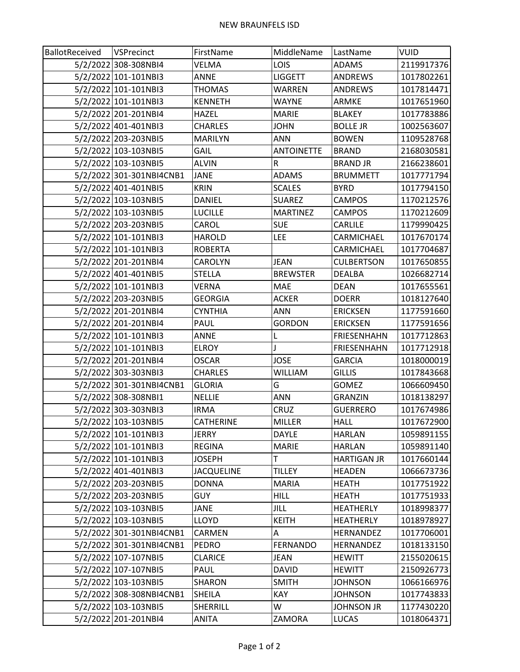| BallotReceived | VSPrecinct               | FirstName         | MiddleName        | LastName           | VUID       |
|----------------|--------------------------|-------------------|-------------------|--------------------|------------|
|                | 5/2/2022 308-308NBI4     | VELMA             | <b>LOIS</b>       | <b>ADAMS</b>       | 2119917376 |
|                | 5/2/2022 101-101NBI3     | <b>ANNE</b>       | <b>LIGGETT</b>    | <b>ANDREWS</b>     | 1017802261 |
|                | 5/2/2022 101-101NBI3     | THOMAS            | <b>WARREN</b>     | <b>ANDREWS</b>     | 1017814471 |
|                | 5/2/2022 101-101NBI3     | <b>KENNETH</b>    | WAYNE             | ARMKE              | 1017651960 |
|                | 5/2/2022 201-201NBI4     | <b>HAZEL</b>      | <b>MARIE</b>      | <b>BLAKEY</b>      | 1017783886 |
|                | 5/2/2022 401-401NBI3     | <b>CHARLES</b>    | <b>JOHN</b>       | <b>BOLLE JR</b>    | 1002563607 |
|                | 5/2/2022 203-203NBI5     | <b>MARILYN</b>    | <b>ANN</b>        | <b>BOWEN</b>       | 1109528768 |
|                | 5/2/2022 103-103NBI5     | <b>GAIL</b>       | <b>ANTOINETTE</b> | <b>BRAND</b>       | 2168030581 |
|                | 5/2/2022 103-103NBI5     | <b>ALVIN</b>      | R                 | <b>BRAND JR</b>    | 2166238601 |
|                | 5/2/2022 301-301NBI4CNB1 | JANE              | <b>ADAMS</b>      | <b>BRUMMETT</b>    | 1017771794 |
|                | 5/2/2022 401-401NBI5     | <b>KRIN</b>       | <b>SCALES</b>     | <b>BYRD</b>        | 1017794150 |
|                | 5/2/2022 103-103NBI5     | DANIEL            | <b>SUAREZ</b>     | CAMPOS             | 1170212576 |
|                | 5/2/2022 103-103NBI5     | <b>LUCILLE</b>    | <b>MARTINEZ</b>   | <b>CAMPOS</b>      | 1170212609 |
|                | 5/2/2022 203-203NBI5     | CAROL             | <b>SUE</b>        | <b>CARLILE</b>     | 1179990425 |
|                | 5/2/2022 101-101NBI3     | <b>HAROLD</b>     | <b>LEE</b>        | CARMICHAEL         | 1017670174 |
|                | 5/2/2022 101-101NBI3     | <b>ROBERTA</b>    |                   | CARMICHAEL         | 1017704687 |
|                | 5/2/2022 201-201NBI4     | CAROLYN           | <b>JEAN</b>       | <b>CULBERTSON</b>  | 1017650855 |
|                | 5/2/2022 401-401NBI5     | <b>STELLA</b>     | <b>BREWSTER</b>   | DEALBA             | 1026682714 |
|                | 5/2/2022 101-101NBI3     | VERNA             | MAE               | <b>DEAN</b>        | 1017655561 |
|                | 5/2/2022 203-203NBI5     | <b>GEORGIA</b>    | <b>ACKER</b>      | <b>DOERR</b>       | 1018127640 |
|                | 5/2/2022 201-201NBI4     | <b>CYNTHIA</b>    | <b>ANN</b>        | <b>ERICKSEN</b>    | 1177591660 |
|                | 5/2/2022 201-201NBI4     | PAUL              | <b>GORDON</b>     | <b>ERICKSEN</b>    | 1177591656 |
|                | 5/2/2022 101-101NBI3     | ANNE              | L                 | <b>FRIESENHAHN</b> | 1017712863 |
|                | 5/2/2022 101-101NBI3     | <b>ELROY</b>      |                   | <b>FRIESENHAHN</b> | 1017712918 |
|                | 5/2/2022 201-201NBI4     | <b>OSCAR</b>      | <b>JOSE</b>       | <b>GARCIA</b>      | 1018000019 |
|                | 5/2/2022 303-303NBI3     | <b>CHARLES</b>    | WILLIAM           | GILLIS             | 1017843668 |
|                | 5/2/2022 301-301NBI4CNB1 | <b>GLORIA</b>     | G                 | <b>GOMEZ</b>       | 1066609450 |
|                | 5/2/2022 308-308NBI1     | <b>NELLIE</b>     | <b>ANN</b>        | <b>GRANZIN</b>     | 1018138297 |
|                | 5/2/2022 303-303NBI3     | <b>IRMA</b>       | <b>CRUZ</b>       | <b>GUERRERO</b>    | 1017674986 |
|                | 5/2/2022 103-103NBI5     | <b>CATHERINE</b>  | <b>MILLER</b>     | <b>HALL</b>        | 1017672900 |
|                | 5/2/2022 101-101NBI3     | JERRY             | DAYLE             | <b>HARLAN</b>      | 1059891155 |
|                | 5/2/2022 101-101NBI3     | <b>REGINA</b>     | <b>MARIE</b>      | <b>HARLAN</b>      | 1059891140 |
|                | 5/2/2022 101-101NBI3     | JOSEPH            | Т                 | <b>HARTIGAN JR</b> | 1017660144 |
|                | 5/2/2022 401-401NBI3     | <b>JACQUELINE</b> | <b>TILLEY</b>     | <b>HEADEN</b>      | 1066673736 |
|                | 5/2/2022 203-203NBI5     | <b>DONNA</b>      | <b>MARIA</b>      | HEATH              | 1017751922 |
|                | 5/2/2022 203-203NBI5     | <b>GUY</b>        | <b>HILL</b>       | HEATH              | 1017751933 |
|                | 5/2/2022 103-103NBI5     | JANE              | JILL              | <b>HEATHERLY</b>   | 1018998377 |
|                | 5/2/2022 103-103NBI5     | LLOYD             | <b>KEITH</b>      | <b>HEATHERLY</b>   | 1018978927 |
|                | 5/2/2022 301-301NBI4CNB1 | CARMEN            | A                 | <b>HERNANDEZ</b>   | 1017706001 |
|                | 5/2/2022 301-301NBI4CNB1 | PEDRO             | <b>FERNANDO</b>   | HERNANDEZ          | 1018133150 |
|                | 5/2/2022 107-107NBI5     | <b>CLARICE</b>    | JEAN              | <b>HEWITT</b>      | 2155020615 |
|                | 5/2/2022 107-107NBI5     | PAUL              | DAVID             | <b>HEWITT</b>      | 2150926773 |
|                | 5/2/2022 103-103NBI5     | SHARON            | <b>SMITH</b>      | <b>JOHNSON</b>     | 1066166976 |
|                | 5/2/2022 308-308NBI4CNB1 | SHEILA            | KAY               | <b>JOHNSON</b>     | 1017743833 |
|                | 5/2/2022 103-103NBI5     | <b>SHERRILL</b>   | W                 | <b>JOHNSON JR</b>  | 1177430220 |
|                | 5/2/2022 201-201NBI4     | ANITA             | ZAMORA            | <b>LUCAS</b>       | 1018064371 |